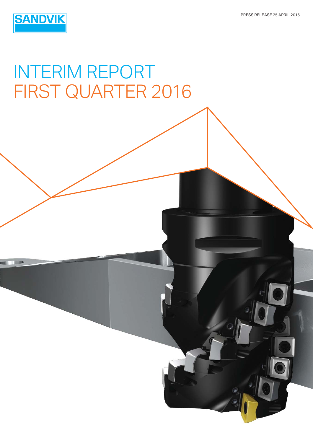

# INTERIM REPORT FIRST QUARTER 2016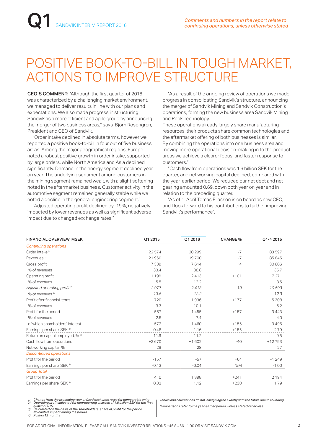## POSITIVE BOOK-TO-BILL IN TOUGH MARKET, ACTIONS TO IMPROVE STRUCTURE

CEO'S COMMENT: "Although the first quarter of 2016 was characterized by a challenging market environment, we managed to deliver results in line with our plans and expectations. We also made progress in structuring Sandvik as a more efficient and agile group by announcing the merger of two business areas," says Björn Rosengren, President and CEO of Sandvik.

 "Order intake declined in absolute terms, however we reported a positive book-to-bill in four out of five business areas. Among the major geographical regions, Europe noted a robust positive growth in order intake, supported by large orders, while North America and Asia declined significantly. Demand in the energy segment declined year on year. The underlying sentiment among customers in the mining segment remained weak, with a slight softening noted in the aftermarket business. Customer activity in the automotive segment remained generally stable while we noted a decline in the general engineering segment."

"Adjusted operating profit declined by -19%, negatively impacted by lower revenues as well as significant adverse impact due to changed exchange rates."

 "As a result of the ongoing review of operations we made progress in consolidating Sandvik's structure, announcing the merger of Sandvik Mining and Sandvik Construction's operations, forming the new business area Sandvik Mining and Rock Technology.

These operations already largely share manufacturing resources, their products share common technologies and the aftermarket offering of both businesses is similar. By combining the operations into one business area and moving more operational decision-making in to the product areas we achieve a clearer focus and faster response to customers."

"Cash flow from operations was 1.6 billion SEK for the quarter, and net working capital declined, compared with the year-earlier period. We reduced our net debt and net gearing amounted 0.69, down both year on year and in relation to the preceding quarter.

 "As of 1 April Tomas Eliasson is on board as new CFO, and I look forward to his contributions to further improving Sandvik's performance".

| <b>FINANCIAL OVERVIEW, MSEK</b>         | Q1 2015 | Q1 2016 | <b>CHANGE %</b> | Q1-4 2015 |
|-----------------------------------------|---------|---------|-----------------|-----------|
| <b>Continuing operations</b>            |         |         |                 |           |
| Order intake <sup>1)</sup>              | 22574   | 20 29 9 | $-7$            | 83 597    |
| Revenues <sup>1)</sup>                  | 21960   | 19700   | $-7$            | 85845     |
| Gross profit                            | 7339    | 7614    | $+4$            | 30 60 6   |
| % of revenues                           | 33.4    | 38.6    |                 | 35.7      |
| Operating profit                        | 1 1 9 9 | 2413    | $+101$          | 7 2 7 1   |
| % of revenues                           | 5.5     | 12.2    |                 | 8.5       |
| Adjusted operating profit <sup>2)</sup> | 2977    | 2413    | $-19$           | 10593     |
| % of revenues 2                         | 13.6    | 12.2    |                 | 12.3      |
| Profit after financial items            | 720     | 1996    | $+177$          | 5 3 0 8   |
| % of revenues                           | 3.3     | 10.1    |                 | 6.2       |
| Profit for the period                   | 567     | 1455    | $+157$          | 3443      |
| % of revenues                           | 2.6     | 7.4     |                 | 4.0       |
| of which shareholders' interest         | 572     | 1460    | $+155$          | 3496      |
| Earnings per share, SEK <sup>3)</sup>   | 0.46    | 1.16    | $+155$          | 2.79      |
| Return on capital employed, % 4)        | 11.9    | 11.2    |                 | 9.5       |
| Cash flow from operations               | $+2670$ | $+1602$ | $-40$           | +12793    |
| Net working capital, %                  | 29      | 28      |                 | 27        |
| <b>Discontinued operations</b>          |         |         |                 |           |
| Profit for the period                   | $-157$  | $-57$   | $+64$           | $-1249$   |
| Earnings per share, SEK <sup>3)</sup>   | $-0.13$ | $-0.04$ | N/M             | $-1.00$   |
| <b>Group Total</b>                      |         |         |                 |           |
| Profit for the period                   | 410     | 1398    | $+241$          | 2 1 9 4   |
| Earnings per share, SEK 3)              | 0.33    | 1.12    | $+238$          | 1.79      |

1) Change from the preceding year at fixed exchange rates for comparable units<br>2) Operating profit adjusted for nonrecurring charges of 1.8 billion SEK for the first<br>quarter 2015.<br>3) Calculated on the basis of the sharehol

 *No dilutive impact during the period*

*4) Rolling 12 months* 

*Tables and calculations do not always agree exactly with the totals due to rounding Comparisons refer to the year-earlier period, unless stated otherwise*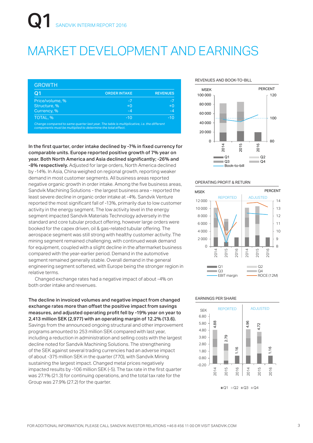## MARKET DEVELOPMENT AND EARNINGS

| Q1              | <b>ORDER INTAKE</b> | <b>REVENUES</b> |
|-----------------|---------------------|-----------------|
| Price/volume, % | $-7$                | -7              |
| Structure, %    | $+0$                | $+0$            |
| Currency, %     | $-4$                | $-4$            |
| TOTAL, %        | $-10$               | $-10$           |

*components must be multiplied to determine the total effect.*

In the first quarter, order intake declined by -7% in fixed currency for comparable units. Europe reported positive growth of 7% year on year. Both North America and Asia declined significantly: -26% and -8% respectively. Adjusted for large orders, North America declined by -14%. In Asia, China weighed on regional growth, reporting weaker demand in most customer segments. All business areas reported negative organic growth in order intake. Among the five business areas, Sandvik Machining Solutions - the largest business area - reported the least severe decline in organic order intake at -4%. Sandvik Venture reported the most significant fall of -13%, primarily due to low customer activity in the energy segment. The low activity level in the energy segment impacted Sandvik Materials Technology adversely in the standard and core tubular product offering, however large orders were booked for the capex driven, oil & gas-related tubular offering. The aerospace segment was still strong with healthy customer activity. The mining segment remained challenging, with continued weak demand for equipment, coupled with a slight decline in the aftermarket business compared with the year-earlier period. Demand in the automotive segment remained generally stable. Overall demand in the general engineering segment softened, with Europe being the stronger region in relative terms.

 Changed exchange rates had a negative impact of about -4% on both order intake and revenues.

The decline in invoiced volumes and negative impact from changed exchange rates more than offset the positive impact from savings measures, and adjusted operating profit fell by -19% year on year to 2,413 million SEK (2,977) with an operating margin of 12.2% (13.6). Savings from the announced ongoing structural and other improvement programs amounted to 253 million SEK compared with last year, including a reduction in administration and selling costs with the largest decline noted for Sandvik Machining Solutions. The strengthening of the SEK against several trading currencies had an adverse impact of about -375 million SEK in the quarter (770), with Sandvik Mining sustaining the largest impact. Changed metal prices negatively impacted results by -106 million SEK (-5). The tax rate in the first quarter was 27.1% (21.3) for continuing operations, and the total tax rate for the Group was 27.9% (27.2) for the quarter.

REVENUES AND BOOK-TO-BILL



#### OPERATING PROFIT & RETURN



#### EARNINGS PER SHARE

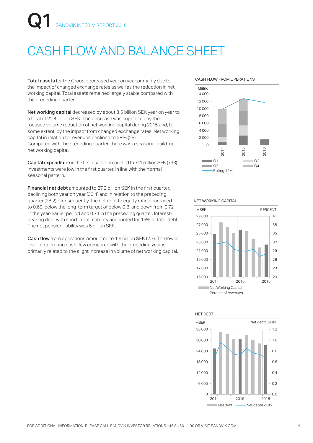# VDVIK INTERIM REPORT 2016

## CASH FLOW AND BALANCE SHEET

Total assets for the Group decreased year on year primarily due to the impact of changed exchange rates as well as the reduction in net working capital. Total assets remained largely stable compared with the preceding quarter.

Net working capital decreased by about 3.5 billion SEK year on year to a total of 22.4 billion SEK. The decrease was supported by the focused volume reduction of net working capital during 2015 and, to some extent, by the impact from changed exchange rates. Net working capital in relation to revenues declined to 28% (29). Compared with the preceding quarter, there was a seasonal build-up of net working capital.

Capital expenditure in the first quarter amounted to 741 million SEK (793). Investments were low in the first quarter, in line with the normal seasonal pattern.

Financial net debt amounted to 27.2 billion SEK in the first quarter, declining both year on year (30.4) and in relation to the preceding quarter (28.2). Consequently, the net debt to equity ratio decreased to 0.69, below the long-term target of below 0.8, and down from 0.72 in the year-earlier period and 0.74 in the preceding quarter. Interestbearing debt with short-term maturity accounted for 15% of total debt. The net pension liability was 6 billion SEK.

Cash flow from operations amounted to 1.6 billion SEK (2.7). The lower level of operating cash flow compared with the preceding year is primarily related to the slight increase in volume of net working capital.

#### CASH FLOW FROM OPERATIONS



#### NET WORKING CAPITAL



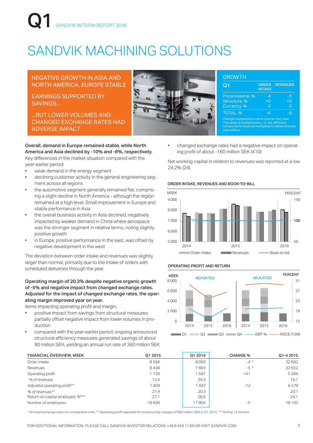# NDVIK INTERIM REPORT 2016

## SANDVIK MACHINING SOLUTIONS

#### NEGATIVE GROWTH IN ASIA AND NORTH AMERICA, EUROPE STABLE

EARNINGS SUPPORTED BY SAVINGS...

...BUT LOWER VOLUMES AND CHANGED EXCHANGE RATES HAD ADVERSE IMPACT

Overall, demand in Europe remained stable, while North America and Asia declined by -10% and -8%, respectively. Key differences in the market situation compared with the year-earlier period:

- weak demand in the energy segment
- declining customer activity in the general engineering segment across all regions
- the automotive segment generally remained flat, comprising a slight decline in North America - although the region remained at a high level. Small improvement in Europe and stable performance in Asia
- the overall business activity in Asia declined, negatively impacted by weaker demand in China where aerospace was the stronger segment in relative terms, noting slightly positive growth
- in Europe, positive performance in the east, was offset by negative development in the west

The deviation between order intake and revenues was slightly larger than normal, primarily due to the intake of orders with scheduled deliveries through the year.

#### Operating margin of 20.3% despite negative organic growth of -5% and negative impact from changed exchange rates. Adjusted for the impact of changed exchange rates, the operating margin improved year on year.

Items impacting operating profit and margin:

- positive impact from savings from structural measures partially offset negative impact from lower volumes in production
- compared with the year-earlier period, ongoing announced structural efficiency measures generated savings of about 90 million SEK, yielding an annual run rate of 360 million SEK



| Q1                                                                                                                                                               | <b>ORDER</b><br><b>INTAKE</b> | <b>REVENUES</b> |
|------------------------------------------------------------------------------------------------------------------------------------------------------------------|-------------------------------|-----------------|
| Price/volume, %                                                                                                                                                  | -4                            | -5              |
| Structure, %                                                                                                                                                     | ŦΩ                            | ŦΟ              |
| Currency, %                                                                                                                                                      | $-2$                          | -2              |
| TOTAL, %                                                                                                                                                         | -6                            | -8              |
| Change compared to same quarter last year.<br>The table is multiplicative, i.e. the different<br>components must be multiplied to determine the<br>total effect. |                               |                 |

• changed exchange rates had a negative impact on operating profit of about -160 million SEK (410)

Net working capital in relation to revenues was reported at a low 24.2% (24).

#### ORDER INTAKE, REVENUES AND BOOK-TO-BILL



#### OPERATING PROFIT AND RETURN



| <b>FINANCIAL OVERVIEW, MSEK</b>  | Q1 2015 | Q1 2016 | <b>CHANGE %</b> | Q1-4 2015 |
|----------------------------------|---------|---------|-----------------|-----------|
| Order intake                     | 8596    | 8050    | $-4$ *          | 32 682    |
| Revenues                         | 8438    | 7803    | $-5*$           | 32 652    |
| Operating profit                 | 1 1 2 9 | 587     | $+41$           | 5 2 6 9   |
| % of revenues                    | 13.4    | 20.3    |                 | 16.1      |
| Adjusted operating profit**      | 1809    | 587     | $-12$           | 6579      |
| % of revenues**                  | 21.4    | 20.3    |                 | 20.1      |
| Return on capital employed, %*** | 27.1    | 26.6    |                 | 24.1      |
| Number of employees              | 18838   | 17804   | -5              | 18 1 20   |

*\* At fixed exchange rates for comparable units. \*\* Operating profit adjusted for nonrecurring charges of 680 million SEK in Q1 2015. \*\*\* Rolling 12 months*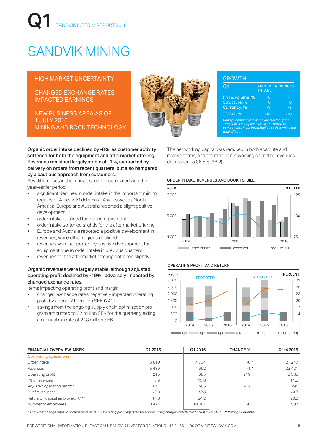# Q1 SANDVIK INTERIM REPORT 2016

## SANDVIK MINING

#### HIGH MARKET UNCERTAINTY

CHANGED EXCHANGE RATES IMPACTED EARNINGS

NEW BUSINESS AREA AS OF 1 JULY 2016 - MINING AND ROCK TECHNOLOGY



| Q <sub>1</sub>                                                                                                                                                   | <b>ORDER</b><br><b>INTAKE</b> | <b>REVENUES</b> |  |  |
|------------------------------------------------------------------------------------------------------------------------------------------------------------------|-------------------------------|-----------------|--|--|
| Price/volume, %                                                                                                                                                  | -8                            | -1              |  |  |
| Structure, %                                                                                                                                                     | $+0$                          | $+0$            |  |  |
| Currency, %                                                                                                                                                      | $-9$                          | -9              |  |  |
| TOTAL, %                                                                                                                                                         | $-16$                         | $-10$           |  |  |
| Change compared to same quarter last year.<br>The table is multiplicative, i.e. the different<br>components must be multiplied to determine the<br>total effect. |                               |                 |  |  |

Organic order intake declined by -8%, as customer activity softened for both the equipment and aftermarket offering. Revenues remained largely stable at -1%, supported by delivery on orders from recent quarters, but also hampered by a cautious approach from customers.

Key differences in the market situation compared with the year-earlier period:

- significant declines in order intake in the important mining regions of Africa & Middle East, Asia as well as North America. Europe and Australia reported a slight positive development
- order intake declined for mining equipment
- order intake softened slightly for the aftermarket offering
- Europe and Australia reported a positive development in revenues, while other regions declined
- revenues were supported by positive development for equipment due to order intake in previous quarters
- revenues for the aftermarket offering softened slightly

#### Organic revenues were largely stable, although adjusted operating profit declined by -19%, adversely impacted by changed exchange rates.

Items impacting operating profit and margin:

- changed exchange rates negatively impacted operating profit by about -210 million SEK (240)
- savings from the ongoing supply chain optimization program amounted to 62 million SEK for the quarter, yielding an annual run rate of 248 million SEK

#### ORDER INTAKE, REVENUES AND BOOK-TO-BILL

decreased to 36.5% (38.2).



The net working capital was reduced in both absolute and relative terms, and the ratio of net working capital to revenues

#### OPERATING PROFIT AND RETURN



| <b>FINANCIAL OVERVIEW, MSEK</b>  | Q1 2015 | Q1 2016 | <b>CHANGE %</b> | Q1-4 2015 |
|----------------------------------|---------|---------|-----------------|-----------|
| <b>Continuing operations</b>     |         |         |                 |           |
| Order intake                     | 5610    | 4734    | $-8*$           | 21 247    |
| Revenues                         | 5489    | 4952    | $-1$ *          | 22421     |
| Operating profit                 | 215     | 685     | $+219$          | 2585      |
| % of revenues                    | 3.9     | 13.8    |                 | 11.5      |
| Adjusted operating profit**      | 841     | 685     | $-19$           | 3296      |
| % of revenues**                  | 15.3    | 13.8    |                 | 14.7      |
| Return on capital employed, %*** | 14.8    | 24.2    |                 | 20.0      |
| Number of employees              | 10424   | 10 3 81 | $-0$            | 10507     |

*\* At fixed exchange rates for comparable units. \*\* Operating profit adjusted for nonrecurring charges of 626 million SEK in Q1 2015. \*\*\* Rolling 12 months.*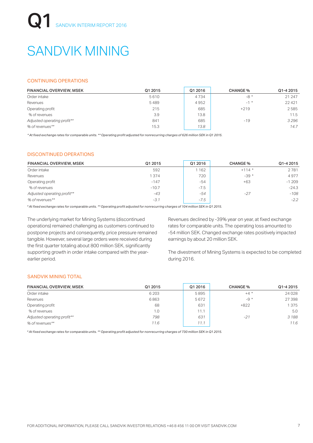# SANDVIK MINING

#### CONTINUING OPERATIONS

| <b>FINANCIAL OVERVIEW, MSEK</b> | Q1 2015 | Q1 2016 | <b>CHANGE %</b> | Q1-4 2015 |
|---------------------------------|---------|---------|-----------------|-----------|
| Order intake                    | 5610    | 4734    | $-8*$           | 21 247    |
| Revenues                        | 5489    | 4952    | $-1$ *          | 22421     |
| Operating profit                | 215     | 685     | $+219$          | 2585      |
| % of revenues                   | 3.9     | 13.8    |                 | 11.5      |
| Adjusted operating profit**     | 841     | 685     | $-19$           | 3296      |
| % of revenues**                 | 15.3    | 13.8    |                 | 14.7      |

*\* At fixed exchange rates for comparable units. \*\* Operating profit adjusted for nonrecurring charges of 626 million SEK in Q1 2015.* 

#### DISCONTINUED OPERATIONS

| <b>FINANCIAL OVERVIEW, MSEK</b> | Q1 2015 | Q1 2016 | <b>CHANGE %</b> | Q1-4 2015 |
|---------------------------------|---------|---------|-----------------|-----------|
| Order intake                    | 592     | 162     | $+114*$         | 2781      |
| Revenues                        | 1374    | 720     | $-39*$          | 4977      |
| Operating profit                | $-147$  | $-54$   | $+63$           | $-1209$   |
| % of revenues                   | $-10.7$ | $-7.5$  |                 | $-24.3$   |
| Adjusted operating profit**     | -43     | $-54$   | $-27$           | $-108$    |
| % of revenues**                 | $-3.1$  | $-7.5$  |                 | $-2.2$    |

*\* At fixed exchange rates for comparable units. \*\* Operating profit adjusted for nonrecurring charges of 104 million SEK in Q1 2015.* 

The underlying market for Mining Systems (discontinued operations) remained challenging as customers continued to postpone projects and consequently, price pressure remained tangible. However, several large orders were received during the first quarter totaling about 800 million SEK, significantly supporting growth in order intake compared with the yearearlier period.

Revenues declined by -39% year on year, at fixed exchange rates for comparable units. The operating loss amounted to -54 million SEK. Changed exchange rates positively impacted earnings by about 20 million SEK.

The divestment of Mining Systems is expected to be completed during 2016.

#### SANDVIK MINING TOTAL

| <b>FINANCIAL OVERVIEW, MSEK</b> | Q1 2015 | Q1 2016 | <b>CHANGE %</b> | Q1-4 2015 |
|---------------------------------|---------|---------|-----------------|-----------|
| Order intake                    | 6 2 0 3 | 5895    | $+4$ *          | 24028     |
| Revenues                        | 6863    | 5672    | $-9 *$          | 27 398    |
| Operating profit                | 68      | 631     | $+822$          | 1375      |
| % of revenues                   | 1.0     | 11.1    |                 | 5.0       |
| Adjusted operating profit**     | 798     | 631     | $-21$           | 3188      |
| % of revenues**                 | 11.6    | 11.1    |                 | 11.6      |

*\* At fixed exchange rates for comparable units. \*\* Operating profit adjusted for nonrecurring charges of 730 million SEK in Q1 2015.*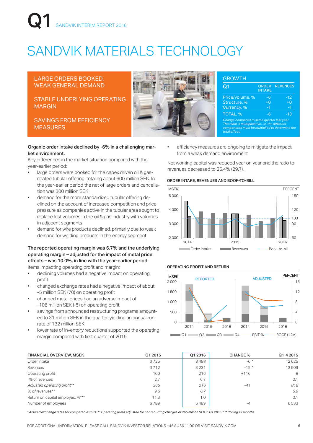# NDVIK INTERIM REPORT 2016

## SANDVIK MATERIALS TECHNOLOGY

#### LARGE ORDERS BOOKED, WEAK GENERAL DEMAND

#### STABLE UNDERLYING OPERATING MARGIN

SAVINGS FROM EFFICIENCY MEASURES



| <b>GROWTH</b>                                                                                                                                                    |                               |                 |  |  |
|------------------------------------------------------------------------------------------------------------------------------------------------------------------|-------------------------------|-----------------|--|--|
| Q1                                                                                                                                                               | <b>ORDER</b><br><b>INTAKE</b> | <b>REVENUES</b> |  |  |
| Price/volume, %                                                                                                                                                  | -6                            | $-12$           |  |  |
| Structure, %                                                                                                                                                     | $+0$                          | $+0$            |  |  |
| Currency, %                                                                                                                                                      | $-1$                          | -1              |  |  |
| TOTAL, %                                                                                                                                                         | -6                            | -13             |  |  |
| Change compared to same quarter last year.<br>The table is multiplicative, i.e. the different<br>components must be multiplied to determine the<br>total effect. |                               |                 |  |  |

#### Organic order intake declined by -6% in a challenging market environment.

Key differences in the market situation compared with the year-earlier period:

- large orders were booked for the capex driven oil & gasrelated tubular offering, totaling about 600 million SEK. In the year-earlier period the net of large orders and cancellation was 300 million SEK
- demand for the more standardized tubular offering declined on the account of increased competition and price pressure as companies active in the tubular area sought to replace lost volumes in the oil & gas industry with volumes in adjacent segments
- demand for wire products declined, primarily due to weak demand for welding products in the energy segment

#### The reported operating margin was 6.7% and the underlying operating margin – adjusted for the impact of metal price effects – was 10.0%, in line with the year-earlier period. Items impacting operating profit and margin:

- declining volumes had a negative impact on operating profit
- changed exchange rates had a negative impact of about -5 million SEK (70) on operating profit
- changed metal prices had an adverse impact of -106 million SEK (-5) on operating profit
- savings from announced restructuring programs amounted to 31 million SEK in the quarter, yielding an annual run rate of 132 million SEK
- lower rate of inventory reductions supported the operating margin compared with first quarter of 2015

efficiency measures are ongoing to mitigate the impact from a weak demand environment

Net working capital was reduced year on year and the ratio to revenues decreased to 26.4% (29.7).

#### ORDER INTAKE, REVENUES AND BOOK-TO-BILL



#### OPERATING PROFIT AND RETURN



| <b>FINANCIAL OVERVIEW, MSEK</b>  | Q1 2015 | Q1 2016 | <b>CHANGE %</b> | Q1-4 2015 |
|----------------------------------|---------|---------|-----------------|-----------|
| Order intake                     | 3725    | 3488    | $-6*$           | 12625     |
| Revenues                         | 3712    | 3 2 3 1 | $-12*$          | 13909     |
| Operating profit                 | 100     | 216     | $+116$          | 8         |
| % of revenues                    | 2.7     | 6.7     |                 | 0.1       |
| Adjusted operating profit**      | 365     | 216     | $-41$           | 818       |
| % of revenues**                  | 9.8     | 6.7     |                 | 5.9       |
| Return on capital employed, %*** | 11.3    | 1.0     |                 | 0.1       |
| Number of employees              | 6789    | 6489    | -4              | 6533      |

*\* At fixed exchange rates for comparable units. \*\* Operating profit adjusted for nonrecurring charges of 265 million SEK in Q1 2015. \*\*\* Rolling 12 months*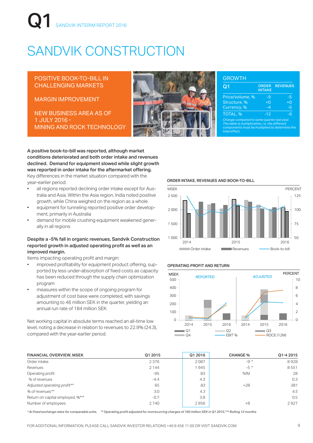# NDVIK INTERIM REPORT 2016

# SANDVIK CONSTRUCTION

#### POSITIVE BOOK-TO-BILL IN CHALLENGING MARKETS

MARGIN IMPROVEMENT

NEW BUSINESS AREA AS OF 1 JULY 2016 - MINING AND ROCK TECHNOLOGY



| <b>GROWTH</b><br>Q1                                                                                                                                              | <b>ORDER</b>  | <b>REVENUES</b> |
|------------------------------------------------------------------------------------------------------------------------------------------------------------------|---------------|-----------------|
|                                                                                                                                                                  | <b>INTAKE</b> |                 |
| Price/volume, %                                                                                                                                                  | $-9$          | -5              |
| Structure, %                                                                                                                                                     | $+0$          | $\overline{+}0$ |
| Currency, %                                                                                                                                                      | $-4$          | -5              |
| TOTAL, %                                                                                                                                                         | $-12$         | -9              |
| Change compared to same quarter last year.<br>The table is multiplicative, i.e. the different<br>components must be multiplied to determine the<br>total effect. |               |                 |

A positive book-to-bill was reported, although market conditions deteriorated and both order intake and revenues declined. Demand for equipment slowed while slight growth was reported in order intake for the aftermarket offering. Key differences in the market situation compared with the year-earlier period:

- all regions reported declining order intake except for Australia and Asia. Within the Asia region, India noted positive growth, while China weighed on the region as a whole
- equipment for tunneling reported positive order development, primarily in Australia
- demand for mobile crushing equipment weakened generally in all regions

#### Despite a -5% fall in organic revenues, Sandvik Construction reported growth in adjusted operating profit as well as an improved margin.

Items impacting operating profit and margin:

- improved profitability for equipment product offering, supported by less under-absorption of fixed costs as capacity has been reduced through the supply chain optimization program
- measures within the scope of ongoing program for adjustment of cost base were completed, with savings amounting to 46 million SEK in the quarter, yielding an annual run rate of 184 million SEK

Net working capital in absolute terms reached an all-time low level, noting a decrease in relation to revenues to 22.9% (24.3), compared with the year-earlier period.

#### ORDER INTAKE, REVENUES AND BOOK-TO-BILL



#### OPERATING PROFIT AND RETURN



| <b>FINANCIAL OVERVIEW, MSEK</b>  | Q1 2015 | Q1 2016 | <b>CHANGE %</b> | Q1-4 2015 |
|----------------------------------|---------|---------|-----------------|-----------|
| Order intake                     | 2376    | 2087    | $-9 *$          | 8928      |
| Revenues                         | 2 1 4 4 | l 945   | $-5*$           | 8551      |
| Operating profit                 | $-95$   | 83      | N/M             | 28        |
| % of revenues                    | $-4.4$  | 4.3     |                 | 0.3       |
| Adjusted operating profit**      | 65      | 83      | +28             | 381       |
| % of revenues**                  | 3.0     | 4.3     |                 | 4.5       |
| Return on capital employed, %*** | $-0.7$  | 3.8     |                 | 0.5       |
| Number of employees              | 2740    | 2956    | $+8$            | 2927      |

*\* At fixed exchange rates for comparable units, \*\* Operating profit adjusted for nonrecurring charges of 160 million SEK in Q1 2015,\*\*\* Rolling 12 months*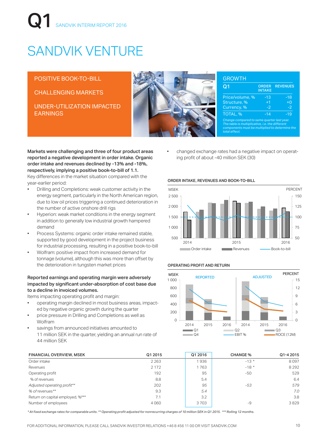# SANDVIK INTERIM REPORT 2016

# SANDVIK VENTURE

POSITIVE BOOK-TO-BILL

CHALLENGING MARKETS

UNDER-UTILIZATION IMPACTED EARNINGS



| Q1                                                                                                                                                               | <b>ORDER</b><br><b>INTAKE</b> | <b>REVENUES</b> |
|------------------------------------------------------------------------------------------------------------------------------------------------------------------|-------------------------------|-----------------|
| Price/volume, %                                                                                                                                                  | $-13$                         | $-18$           |
| Structure, %                                                                                                                                                     | $+1$                          | $+0$            |
| Currency, %                                                                                                                                                      | $-2$                          | $-2$            |
| TOTAL, %                                                                                                                                                         | $-14$                         | -19             |
| Change compared to same quarter last year.<br>The table is multiplicative, i.e. the different<br>components must be multiplied to determine the<br>total effect. |                               |                 |

Markets were challenging and three of four product areas reported a negative development in order intake. Organic order intake and revenues declined by -13% and -18%, respectively, implying a positive book-to-bill of 1.1. Key differences in the market situation compared with the year-earlier period:

- Drilling and Completions: weak customer activity in the energy segment, particularly in the North American region, due to low oil prices triggering a continued deterioration in the number of active onshore drill rigs
- Hyperion: weak market conditions in the energy segment in addition to generally low industrial growth hampered demand
- Process Systems: organic order intake remained stable, supported by good development in the project business for industrial processing, resulting in a positive book-to-bill
- Wolfram: positive impact from increased demand for tonnage (volume), although this was more than offset by the deterioration in tungsten market prices

#### Reported earnings and operating margin were adversely impacted by significant under-absorption of cost base due to a decline in invoiced volumes.

Items impacting operating profit and margin:

- operating margin declined in most business areas, impacted by negative organic growth during the quarter
- price pressure in Drilling and Completions as well as Wolfram
- savings from announced initiatives amounted to 11 million SEK in the quarter, yielding an annual run rate of 44 million SEK

• changed exchange rates had a negative impact on operating profit of about -40 million SEK (30)

#### ORDER INTAKE, REVENUES AND BOOK-TO-BILL



#### OPERATING PROFIT AND RETURN



| <b>FINANCIAL OVERVIEW, MSEK</b>  | Q1 2015 | Q1 2016 | <b>CHANGE %</b> | Q1-4 2015 |
|----------------------------------|---------|---------|-----------------|-----------|
| Order intake                     | 2 2 6 3 | 1936    | $-13*$          | 8097      |
| Revenues                         | 2 1 7 2 | 1763    | $-18*$          | 8292      |
| Operating profit                 | 192     | 95      | -50             | 529       |
| % of revenues                    | 8.8     | 5.4     |                 | 6.4       |
| Adjusted operating profit**      | 202     | 95      | $-53$           | 579       |
| % of revenues**                  | 9.3     | 5.4     |                 | 7.0       |
| Return on capital employed, %*** | 7.1     | 3.2     |                 | 3.8       |
| Number of employees              | 4060    | 3703    | $-9$            | 3829      |

*\* At fixed exchange rates for comparable units. \*\* Operating profit adjusted for nonrecurring charges of 10 million SEK in Q1 2015. \*\*\* Rolling 12 months.*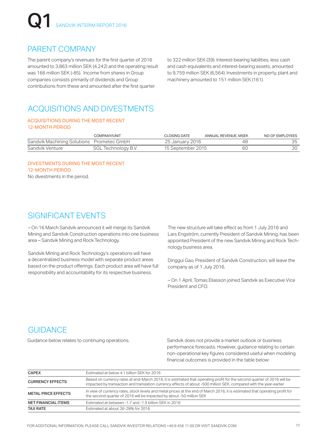### PARENT COMPANY

The parent company's revenues for the first quarter of 2016 amounted to 3,863 million SEK (4,242) and the operating result was 166 million SEK (-85). Income from shares in Group companies consists primarily of dividends and Group contributions from these and amounted after the first quarter

to 322 million SEK (39). Interest-bearing liabilities, less cash and cash equivalents and interest-bearing assets, amounted to 9,759 million SEK (6,564). Investments in property, plant and machinery amounted to 151 million SEK (161).

### ACQUISITIONS AND DIVESTMENTS

#### ACQUISITIONS DURING THE MOST RECENT 12-MONTH PERIOD

|                                           | COMPANY/UNIT        | <b>CLOSING DATE</b> | ANNUAL REVENUE, MSEK | NO OF EMPLOYEES |
|-------------------------------------------|---------------------|---------------------|----------------------|-----------------|
| Sandvik Machining Solutions Prometec GmbH |                     | 25 January 2016     | 48                   | 35              |
| Sandvik Venture                           | SGL Technology B.V. | 15 September 2015   | 60                   | 20              |

#### DIVESTMENTS DURING THE MOST RECENT 12-MONTH PERIOD

No divestments in the period.

### SIGNIFICANT EVENTS

– On 16 March Sandvik announced it will merge its Sandvik Mining and Sandvik Construction operations into one business area – Sandvik Mining and Rock Technology.

Sandvik Mining and Rock Technology's operations will have a decentralized business model with separate product areas based on the product offerings. Each product area will have full responsibility and accountability for its respective business.

The new structure will take effect as from 1 July 2016 and Lars Engström, currently President of Sandvik Mining, has been appointed President of the new Sandvik Mining and Rock Technology business area.

Dinggui Gao, President of Sandvik Construction, will leave the company as of 1 July 2016.

– On 1 April, Tomas Eliasson joined Sandvik as Executive Vice President and CFO.

## **GUIDANCE**

Guidance below relates to continuing operations. Sandvik does not provide a market outlook or business performance forecasts. However, guidance relating to certain non-operational key figures considered useful when modeling financial outcomes is provided in the table below:

| <b>CAPEX</b>               | Estimated at below 4.1 billion SEK for 2016                                                                                                                                                                                                   |
|----------------------------|-----------------------------------------------------------------------------------------------------------------------------------------------------------------------------------------------------------------------------------------------|
| <b>CURRENCY EFFECTS</b>    | Based on currency rates at end-March 2016, it is estimated that operating profit for the second quarter of 2016 will be<br>impacted by transaction and translation currency effects of about -500 million SEK, compared with the year-earlier |
| <b>METAL PRICE EFFECTS</b> | In view of currency rates, stock levels and metal prices at the end of March 2016, it is estimated that operating profit for<br>the second quarter of 2016 will be impacted by about -50 million SEK                                          |
| <b>NET FINANCIAL ITEMS</b> | Estimated at between -1.7 and -1.9 billion SEK in 2016                                                                                                                                                                                        |
| <b>TAX RATE</b>            | Estimated at about 26-28% for 2016                                                                                                                                                                                                            |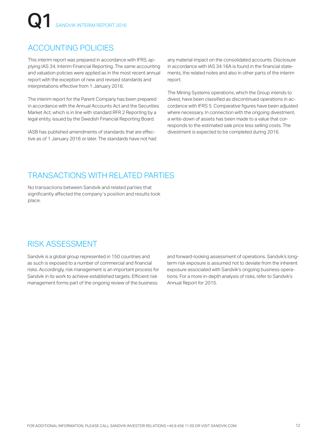## ACCOUNTING POLICIES

This interim report was prepared in accordance with IFRS, applying IAS 34, Interim Financial Reporting. The same accounting and valuation policies were applied as in the most recent annual report with the exception of new and revised standards and interpretations effective from 1 January 2016.

The interim report for the Parent Company has been prepared in accordance with the Annual Accounts Act and the Securities Market Act, which is in line with standard RFR 2 Reporting by a legal entity, issued by the Swedish Financial Reporting Board.

IASB has published amendments of standards that are effective as of 1 January 2016 or later. The standards have not had any material impact on the consolidated accounts. Disclosure in accordance with IAS 34.16A is found in the financial statements, the related notes and also in other parts of the interim report.

The Mining Systems operations, which the Group intends to divest, have been classified as discontinued operations in accordance with IFRS 5. Comparative figures have been adjusted where necessary. In connection with the ongoing divestment, a write-down of assets has been made to a value that corresponds to the estimated sale price less selling costs. The divestment is expected to be completed during 2016.

### TRANSACTIONS WITH RELATED PARTIES

No transactions between Sandvik and related parties that significantly affected the company's position and results took place.

### RISK ASSESSMENT

Sandvik is a global group represented in 150 countries and as such is exposed to a number of commercial and financial risks. Accordingly, risk management is an important process for Sandvik in its work to achieve established targets. Efficient risk management forms part of the ongoing review of the business

and forward-looking assessment of operations. Sandvik's longterm risk exposure is assumed not to deviate from the inherent exposure associated with Sandvik's ongoing business operations. For a more in-depth analysis of risks, refer to Sandvik's Annual Report for 2015.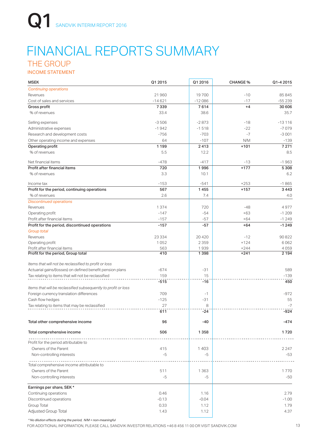## FINANCIAL REPORTS SUMMARY THE GROUP

INCOME STATEMENT

| <b>MSEK</b>                                                    | Q1 2015  | Q1 2016  | <b>CHANGE %</b> | Q1-4 2015 |
|----------------------------------------------------------------|----------|----------|-----------------|-----------|
| <b>Continuing operations</b>                                   |          |          |                 |           |
| Revenues                                                       | 21960    | 19700    | $-10$           | 85 845    |
| Cost of sales and services                                     | $-14621$ | $-12086$ | $-17$           | $-55239$  |
| Gross profit                                                   | 7339     | 7614     | $+4$            | 30 60 6   |
| % of revenues                                                  | 33.4     | 38.6     |                 | 35.7      |
| Selling expenses                                               | $-3506$  | $-2873$  | $-18$           | $-13116$  |
| Administrative expenses                                        | $-1942$  | $-1518$  | $-22$           | $-7079$   |
| Research and development costs                                 | $-756$   | $-703$   | $-7$            | $-3001$   |
| Other operating income and expenses                            | 64       | $-107$   | N/M             | $-139$    |
| Operating profit                                               | 1 1 9 9  | 2413     | $+101$          | 7 2 7 1   |
| % of revenues                                                  | 5.5      | 12.2     |                 | 8.5       |
| Net financial items                                            | $-478$   | $-417$   | $-13$           | $-1963$   |
| Profit after financial items                                   | 720      | 1996     | $+177$          | 5 3 0 8   |
| % of revenues                                                  | 3.3      | 10.1     |                 | 6.2       |
| Income tax                                                     | $-153$   | $-541$   | $+253$          | $-1865$   |
| Profit for the period, continuing operations                   | 567      | 1455     | $+157$          | 3443      |
| % of revenues                                                  | 2.6      | 7.4      |                 | 4.0       |
| <b>Discontinued operations</b>                                 |          |          |                 |           |
| Revenues                                                       | 1374     | 720      | $-48$           | 4977      |
| Operating profit                                               | $-147$   | $-54$    | $+63$           | $-1209$   |
| Profit after financial items                                   | $-157$   | $-57$    | $+64$           | $-1249$   |
| Profit for the period, discontinued operations                 | $-157$   | $-57$    | $+64$           | $-1249$   |
| <b>Group total</b>                                             |          |          |                 |           |
| Revenues                                                       | 23 3 3 4 | 20 4 20  | $-12$           | 90822     |
| Operating profit                                               | 1052     | 2 3 5 9  | $+124$          | 6062      |
| Profit after financial items                                   | 563      | 1939     | $+244$          | 4059      |
| Profit for the period, Group total                             | 410      | 1398     | $+241$          | 2 1 9 4   |
| Items that will not be reclassified to profit or loss          |          |          |                 |           |
| Actuarial gains/(losses) on defined benefit pension plans      | $-674$   | $-31$    |                 | 589       |
| Tax relating to items that will not be reclassified            | 159      | 15       |                 | $-139$    |
|                                                                | $-515$   | $-16$    |                 | 450       |
| Items that will be reclassified subsequently to profit or loss |          |          |                 |           |
| Foreign currency translation differences                       | 709      | -1       |                 | -972      |
| Cash flow hedges                                               | $-125$   | $-31$    |                 | 55        |
| Tax relating to items that may be reclassified                 | 27       | 8        |                 | $-7$      |
|                                                                | 611      | $-24$    |                 | $-924$    |
| Total other comprehensive income                               | 96       | -40      |                 | $-474$    |
| Total comprehensive income                                     | 506      | 1358     |                 | 1720      |
| Profit for the period attributable to                          |          |          |                 |           |
| Owners of the Parent                                           | 415      | 1403     |                 | 2 2 4 7   |
|                                                                | $-5$     | -5       |                 | -53       |
| Non-controlling interests                                      |          |          |                 |           |
| Total comprehensive income attributable to                     |          |          |                 |           |
| Owners of the Parent                                           | 511      | 1363     |                 | 1770      |
| Non-controlling interests                                      | $-5$     | -5       |                 | $-50$     |
| Earnings per share, SEK *                                      |          |          |                 |           |
| Continuing operations                                          | 0.46     | 1.16     |                 | 2.79      |
| Discontinued operations                                        | $-0.13$  | $-0.04$  |                 | $-1.00$   |
| Group Total                                                    | 0.33     | 1.12     |                 | 1.79      |
| Adjusted Group Total                                           | 1.43     | 1.12     |                 | 4.37      |

*\* No dilution effects during the period, N/M = non-meaningful*

FOR ADDITIONAL INFORMATION, PLEASE CALL SANDVIK INVESTOR RELATIONS +46 8 456 11 00 OR VISIT SANDVIK.COM 13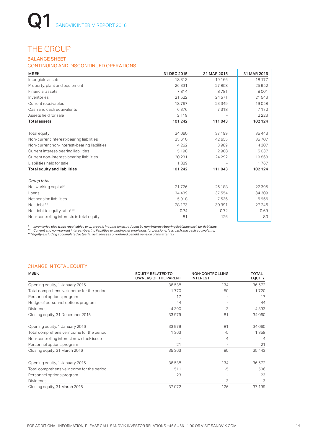### THE GROUP

#### BALANCE SHEET

#### CONTINUING AND DISCONTINUED OPERATIONS

| <b>MSEK</b>                                  | 31 DEC 2015 | 31 MAR 2015 | 31 MAR 2016 |
|----------------------------------------------|-------------|-------------|-------------|
| Intangible assets                            | 18313       | 19 16 6     | 18 177      |
| Property, plant and equipment                | 26331       | 27858       | 25952       |
| <b>Financial assets</b>                      | 7814        | 8781        | 8001        |
| Inventories                                  | 21522       | 24571       | 21543       |
| Current receivables                          | 18767       | 23 349      | 19058       |
| Cash and cash equivalents                    | 6376        | 7318        | 7 1 7 0     |
| Assets held for sale                         | 2 1 1 9     |             | 2 2 2 3     |
| <b>Total assets</b>                          | 101 242     | 111 043     | 102 124     |
| Total equity                                 | 34 060      | 37 199      | 35 4 4 3    |
| Non-current interest-bearing liabilities     | 35 610      | 42 655      | 35 707      |
| Non-current non-interest-bearing liabilities | 4 2 6 2     | 3989        | 4 3 0 7     |
| Current interest-bearing liabilities         | 5 1 9 0     | 2908        | 5037        |
| Current non-interest-bearing liabilities     | 20 231      | 24 29 2     | 19863       |
| Liabilities held for sale                    | 1889        | ۰           | 1767        |
| <b>Total equity and liabilities</b>          | 101 242     | 111043      | 102 124     |
| Group total                                  |             |             |             |
| Net working capital*                         | 21726       | 26 188      | 22 3 95     |
| Loans                                        | 34 4 39     | 37 554      | 34 309      |
| Net pension liabilities                      | 5918        | 7536        | 5966        |
| Net debt **                                  | 28 1 7 3    | 30 391      | 27 246      |
| Net debt to equity ratio***                  | 0.74        | 0.72        | 0.69        |
| Non-controlling interests in total equity    | 81          | 126         | 80          |

\* Inventories plus trade receivables excl. prepaid income taxes, reduced by non-interest-bearing liabilities excl. tax liabilities<br>\*\* Current and non-current interest-bearing liabilities excluding net provisions for

#### CHANGE IN TOTAL EQUITY

| <b>MSEK</b>                               | <b>EQUITY RELATED TO</b><br><b>OWNERS OF THE PARENT</b> | <b>NON-CONTROLLING</b><br><b>INTEREST</b> | <b>TOTAL</b><br><b>EQUITY</b> |
|-------------------------------------------|---------------------------------------------------------|-------------------------------------------|-------------------------------|
| Opening equity, 1 January 2015            | 36538                                                   | 134                                       | 36672                         |
| Total comprehensive income for the period | 1770                                                    | $-50$                                     | 1720                          |
| Personnel options program                 | 17                                                      |                                           | 17                            |
| Hedge of personnel options program        | 44                                                      |                                           | 44                            |
| <b>Dividends</b>                          | $-4390$                                                 | -3                                        | -4393                         |
| Closing equity, 31 December 2015          | 33979                                                   | 81                                        | 34 060                        |
| Opening equity, 1 January 2016            | 33979                                                   | 81                                        | 34 060                        |
| Total comprehensive income for the period | 1 3 6 3                                                 | -5                                        | 1358                          |
| Non-controlling interest new stock issue  |                                                         | 4                                         | $\overline{4}$                |
| Personnel options program                 | 21                                                      |                                           | 21                            |
| Closing equity, 31 March 2016             | 35 363                                                  | 80                                        | 35 4 4 3                      |
| Opening equity, 1 January 2015            | 36538                                                   | 134                                       | 36 672                        |
| Total comprehensive income for the period | 511                                                     | -5                                        | 506                           |
| Personnel options program                 | 23                                                      |                                           | 23                            |
| <b>Dividends</b>                          |                                                         | -3                                        | -3                            |
| Closing equity, 31 March 2015             | 37072                                                   | 126                                       | 37 199                        |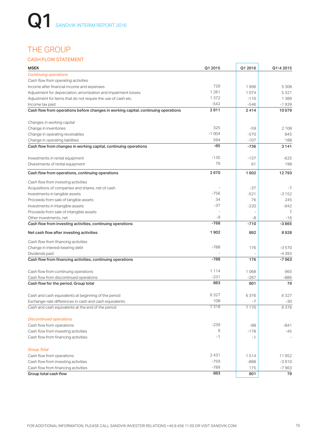## THE GROUP

#### CASH FLOW STATEMENT

| <b>MSEK</b>                                                                        | Q1 2015 | Q1 2016 | Q1-4 2015      |
|------------------------------------------------------------------------------------|---------|---------|----------------|
| <b>Continuing operations</b>                                                       |         |         |                |
| Cash flow from operating activities                                                |         |         |                |
| Income after financial income and expenses                                         | 720     | 1996    | 5 3 0 8        |
| Adjustment for depreciation, amortization and impairment losses                    | 1 2 6 1 | 1074    | 5321           |
| Adjustment for items that do not require the use of cash etc.                      | 1372    | $-110$  | 1389           |
| Income tax paid                                                                    | $-542$  | $-546$  | $-1939$        |
| Cash flow from operations before changes in working capital, continuing operations | 2811    | 2414    | 10079          |
| Changes in working capital                                                         |         |         |                |
| Change in inventories                                                              | 325     | -59     | 2 1 0 8        |
| Change in operating receivables                                                    | $-1004$ | $-570$  | 845            |
| Change in operating liabilities                                                    | 594     | $-107$  | 188            |
| Cash flow from changes in working capital, continuing operations                   | -85     | -736    | 3 1 4 1        |
| Investments in rental equipment                                                    | $-135$  | $-137$  | $-625$         |
| Divestments of rental equipment                                                    | 79      | 61      | 198            |
| Cash flow from operations, continuing operations                                   | 2670    | 1602    | 12793          |
| Cash flow from investing activities                                                |         |         |                |
| Acquisitions of companies and shares, net of cash                                  |         | $-37$   | $-7$           |
| Investments in tangible assets                                                     | $-756$  | $-521$  | $-3152$        |
| Proceeds from sale of tangible assets                                              | 34      | 76      | 245            |
| Investments in intangible assets                                                   | -37     | $-220$  | $-942$         |
| Proceeds from sale of intangible assets                                            |         |         | $\overline{7}$ |
| Other investments, net                                                             | -9      | -8      | $-16$          |
| Cash flow from investing activities, continuing operations                         | $-768$  | $-710$  | $-3865$        |
| Net cash flow after investing activities                                           | 1902    | 892     | 8928           |
| Cash flow from financing activities                                                |         |         |                |
| Change in interest-bearing debt                                                    | $-788$  | 176     | $-3570$        |
| Dividends paid                                                                     |         |         | $-4393$        |
| Cash flow from financing activities, continuing operations                         | $-788$  | 176     | $-7963$        |
|                                                                                    |         |         |                |
| Cash flow from continuing operations                                               | 1 1 1 4 | 1068    | 965            |
| Cash flow from discontinued operations                                             | $-231$  | $-267$  | $-886$         |
| Cash flow for the period, Group total                                              | 883     | 801     | 79             |
| Cash and cash equivalents at beginning of the period                               | 6327    | 6376    | 6327           |
| Exchange-rate differences in cash and cash equivalents                             | 108     | -7      | -30            |
| Cash and cash equivalents at the end of the period                                 | 7318    | 7 1 7 0 | 6376           |
| <b>Discontinued operations</b>                                                     |         |         |                |
| Cash flow from operations                                                          | $-239$  | -88     | $-841$         |
| Cash flow from investing activities                                                | 9       | $-178$  | $-45$          |
| Cash flow from financing activities                                                | $-1$    | $-1$    |                |
| <b>Group Total</b>                                                                 |         |         |                |
| Cash flow from operations                                                          | 2431    | 1514    | 11952          |
| Cash flow from investing activities                                                | $-759$  | $-888$  | $-3910$        |
| Cash flow from financing activities                                                | $-789$  | 175     | $-7963$        |
| Group total cash flow                                                              | 883     | 801     | 79             |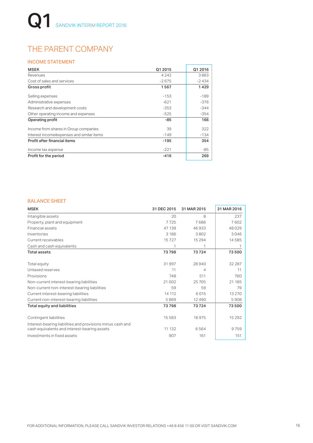## THE PARENT COMPANY

#### INCOME STATEMENT

| <b>MSEK</b>                                | Q1 2015 | Q1 2016 |
|--------------------------------------------|---------|---------|
| Revenues                                   | 4 2 4 2 | 3863    |
| Cost of sales and services                 | $-2675$ | $-2434$ |
| Gross profit                               | 1567    | 1429    |
| Selling expenses                           | $-153$  | $-189$  |
| Administrative expenses                    | $-621$  | $-376$  |
| Research and development costs             | $-353$  | $-344$  |
| Other operating income and expenses        | $-525$  | $-354$  |
| Operating profit                           | -85     | 166     |
| Income from shares in Group companies      | 39      | 322     |
| Interest income/expenses and similar items | $-149$  | $-134$  |
| Profit after financial items               | -195    | 354     |
| Income tax expense                         | $-221$  | -85     |
| Profit for the period                      | $-416$  | 269     |

#### BALANCE SHEET

| <b>MSEK</b>                                                                                                | 31 DEC 2015 | 31 MAR 2015 | 31 MAR 2016 |
|------------------------------------------------------------------------------------------------------------|-------------|-------------|-------------|
| Intangible assets                                                                                          | 20          | 8           | 237         |
| Property, plant and equipment                                                                              | 7725        | 7686        | 7602        |
| Financial assets                                                                                           | 47 139      | 46933       | 48029       |
| Inventories                                                                                                | 3 1 8 6     | 3802        | 3046        |
| Current receivables                                                                                        | 15727       | 15 2 9 4    | 14585       |
| Cash and cash equivalents                                                                                  | 1           | 1           | -1          |
| <b>Total assets</b>                                                                                        | 73798       | 73724       | 73500       |
| Total equity                                                                                               | 31 997      | 28940       | 32 287      |
| Untaxed reserves                                                                                           | 11          | 4           | 11          |
| Provisions                                                                                                 | 748         | 511         | 760         |
| Non-current interest-bearing liabilities                                                                   | 21 002      | 25 705      | 21 185      |
| Non-current non-interest-bearing liabilities                                                               | 59          | 59          | 79          |
| Current interest-bearing liabilities                                                                       | 14 112      | 6015        | 13 270      |
| Current non-interest-bearing liabilities                                                                   | 5869        | 12 4 9 0    | 5908        |
| <b>Total equity and liabilities</b>                                                                        | 73798       | 73724       | 73500       |
| Contingent liabilities                                                                                     | 15 5 8 3    | 16975       | 15 2 9 2    |
| Interest-bearing liabilities and provisions minus cash and<br>cash equivalents and interest-bearing assets | 11 132      | 6564        | 9759        |
| Investments in fixed assets                                                                                | 907         | 161         | 151         |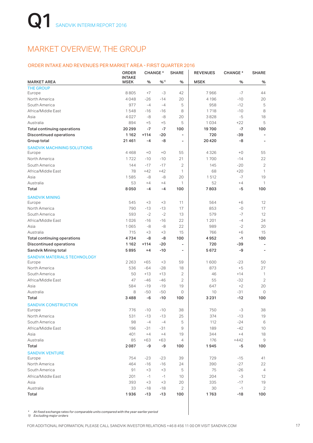## MARKET OVERVIEW, THE GROUP

#### ORDER INTAKE AND REVENUES PER MARKET AREA - FIRST QUARTER 2016

|                                     | <b>ORDER</b><br><b>INTAKE</b> |        | <b>CHANGE*</b> | <b>SHARE</b>             | <b>REVENUES</b> | <b>CHANGE*</b> | <b>SHARE</b>   |
|-------------------------------------|-------------------------------|--------|----------------|--------------------------|-----------------|----------------|----------------|
| <b>MARKET AREA</b>                  | <b>MSEK</b>                   | %      | $9/0^{11}$     | %                        | <b>MSEK</b>     | %              | %              |
| <b>THE GROUP</b>                    |                               |        |                |                          |                 |                |                |
| Europe                              | 8805                          | $+7$   | $-3$           | 42                       | 7966            | $-7$           | 44             |
| North America                       | 4048                          | $-26$  | $-14$          | 20                       | 4 1 9 6         | $-10$          | 20             |
| South America                       | 977                           | $-4$   | $-4$           | 5                        | 958             | $-12$          | 5              |
| Africa/Middle East                  | 1548                          | $-16$  | $-16$          | 8                        | 1718            | $-10$          | 8              |
| Asia                                | 4027                          | -8     | -8             | 20                       | 3828            | -5             | 18             |
| Australia                           | 894                           | $+5$   | $+5$           | 5                        | 1034            | $+22$          | 5              |
| <b>Total continuing operations</b>  | 20 29 9                       | $-7$   | -7             | 100                      | 19700           | $-7$           | 100            |
| <b>Discontinued operations</b>      | 1 1 6 2                       | $+114$ | $-20$          | $\overline{a}$           | 720             | $-39$          |                |
| Group total                         | 21461                         | $-4$   | -8             | ۰                        | 20420           | -8             | ٠              |
| <b>SANDVIK MACHINING SOLUTIONS</b>  |                               |        |                |                          |                 |                |                |
| Europe                              | 4468                          | $+0$   | $+0$           | 55                       | 4326            | $+0$           | 55             |
| North America                       | 1722                          | $-10$  | $-10$          | 21                       | 1700            | $-14$          | 22             |
| South America                       | 144                           | $-17$  | $-17$          | $\overline{2}$           | 145             | $-20$          | $\overline{2}$ |
| Africa/Middle East                  | 78                            | $+42$  | $+42$          | 1                        | 68              | $+20$          | 1              |
| Asia                                | 1585                          | -8     | -8             | 20                       | 1512            | $-7$           | 19             |
| Australia                           | 53                            | $+4$   | $+4$           | 1                        | 52              | $+4$           | 1              |
| Total                               | 8050                          | $-4$   | $-4$           | 100                      | 7803            | -5             | 100            |
| <b>SANDVIK MINING</b>               |                               |        |                |                          |                 |                |                |
| Europe                              | 545                           | $+3$   | $+3$           | 11                       | 564             | $+6$           | 12             |
| North America                       | 790                           | $-13$  | $-13$          | 17                       | 853             | $-0$           | 17             |
| South America                       | 593                           | $-2$   | $-2$           | 13                       | 579             | $-7$           | 12             |
| Africa/Middle East                  | 1026                          | $-16$  | $-16$          | 22                       | 1 2 0 1         | $-4$           | 24             |
| Asia                                | 1065                          | -8     | -8             | 22                       | 989             | $-2$           | 20             |
| Australia                           | 715                           | $+3$   | $+3$           | 15                       | 766             | $+6$           | 15             |
| <b>Total continuing operations</b>  | 4734                          | -8     | -8             | 100                      | 4952            | $-1$           | 100            |
| <b>Discontinued operations</b>      | 1 1 6 2                       | $+114$ | $-20$          | $\overline{a}$           | 720             | -39            | $\overline{a}$ |
| Sandvik Mining total                | 5895                          | $+4$   | $-10$          | $\overline{\phantom{a}}$ | 5672            | -9             | $\overline{a}$ |
| <b>SANDVIK MATERIALS TECHNOLOGY</b> |                               |        |                |                          |                 |                |                |
| Europe                              | 2 2 6 3                       | $+65$  | $+3$           | 59                       | 1600            | $-23$          | 50             |
| North America                       | 536                           | $-64$  | $-28$          | 18                       | 873             | $+5$           | 27             |
| South America                       | 50                            | $+13$  | $+13$          | 2                        | 46              | $+14$          | 1              |
| Africa/Middle East                  | 47                            | $-46$  | $-46$          | $\overline{2}$           | 55              | $-32$          | $\overline{2}$ |
| Asia                                | 584                           | $-19$  | $-19$          | 19                       | 647             | $+2$           | 20             |
| Australia                           | 8                             | -50    | $-50$          | $\circ$                  | 10              | $-31$          | $\circ$        |
| Total                               | 3488                          | -6     | $-10$          | 100                      | 3231            | $-12$          | 100            |
| <b>SANDVIK CONSTRUCTION</b>         |                               |        |                |                          |                 |                |                |
| Europe                              | 776                           | $-10$  | $-10$          | 38                       | 750             | -3             | 38             |
| North America                       | 531                           | $-13$  | $-13$          | 25                       | 374             | $-13$          | 19             |
| South America                       | 98                            | $-4$   | $-4$           | 5                        | 112             | $-24$          | 6              |
| Africa/Middle East                  | 196                           | -31    | $-31$          | 9                        | 189             | $-42$          | 10             |
| Asia                                | 401                           | $+4$   | $+4$           | 19                       | 344             | $+4$           | 18             |
| Australia                           | 85                            | $+63$  | $+63$          | 4                        | 176             | +442           | 9              |
| Total                               | 2087                          | -9     | -9             | 100                      | 1945            | -5             | 100            |
| <b>SANDVIK VENTURE</b>              |                               |        |                |                          |                 |                |                |
| Europe                              | 754                           | $-23$  | $-23$          | 39                       | 729             | $-15$          | 41             |
| North America                       | 464                           | $-16$  | $-16$          | 24                       | 390             | $-27$          | 22             |
| South America                       | 91                            | $+3$   | $+3$           | 5                        | 75              | $-26$          | $\overline{4}$ |
| Africa/Middle East                  | 201                           | $-1$   | $-1$           | 10                       | 204             | $-3$           | 12             |
| Asia                                | 393                           | $+3$   | $+3$           | 20                       | 335             | $-17$          | 19             |
| Australia                           | 33                            | $-18$  | $-18$          | 2                        | 30              | $-1$           | $\mathbf{2}$   |
| Total                               | 1936                          | $-13$  | -13            | 100                      | 1763            | -18            | 100            |

*\* At fixed exchange rates for comparable units compared with the year-earlier period*

*1) Excluding major orders*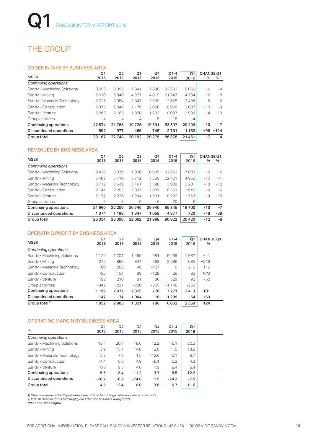## THE GROUP

#### ORDER INTAKE BY BUSINESS AREA

|                              | Q1      | Q <sub>2</sub> | Q3      | Q4     | $Q1 - 4$ | Q1      | <b>CHANGE Q1</b> |                     |
|------------------------------|---------|----------------|---------|--------|----------|---------|------------------|---------------------|
| <b>MSEK</b>                  | 2015    | 2015           | 2015    | 2015   | 2015     | 2016    | %                | $9/6$ <sup>1)</sup> |
| Continuing operations        |         |                |         |        |          |         |                  |                     |
| Sandvik Machining Solutions  | 8596    | 8355           | 7841    | 7890   | 32 682   | 8050    | -6               | $-4$                |
| Sandvik Mining               | 5610    | 5840           | 4977    | 4819   | 21 247   | 4734    | $-16$            | -8                  |
| Sandvik Materials Technology | 3725    | 3054           | 2847    | 2999   | 12625    | 3488    | $-6$             | $-6$                |
| Sandvik Construction         | 2376    | 2348           | 2 1 7 9 | 2026   | 8928     | 2087    | $-12$            | $-9$                |
| Sandvik Venture              | 2 2 6 3 | 2 1 6 5        | 1878    | 1792   | 8097     | 1936    | $-14$            | $-13$               |
| Group activities             | 4       | $\overline{4}$ | 4       | 5      | 18       | 4       |                  |                     |
| Continuing operations        | 22574   | 21766          | 19726   | 19531  | 83597    | 20 29 9 | $-10$            | -7                  |
| Discontinued operations      | 592     | 977            | 466     | 745    | 2781     | 1162    | $+96$            | $+114$              |
| Group total                  | 23 167  | 22743          | 20 19 2 | 20 275 | 86378    | 21461   | -7               | $-4$                |

#### REVENUES BY BUSINESS AREA

| <b>MSEK</b>                    | Q1<br>2015 | Q <sub>2</sub><br>2015 | Q3<br>2015 | Q4<br>2015 | $Q1 - 4$<br>2015 | Q1<br>2016 | <b>CHANGE Q1</b><br>% | $96^{11}$ |
|--------------------------------|------------|------------------------|------------|------------|------------------|------------|-----------------------|-----------|
| Continuing operations          |            |                        |            |            |                  |            |                       |           |
| Sandvik Machining Solutions    | 8438       | 8339                   | 7836       | 8039       | 32 652           | 7803       | -8                    | $-5$      |
| Sandvik Mining                 | 5489       | 5710                   | 5712       | 5509       | 22 4 21          | 4952       | $-10$                 | $-1$      |
| Sandvik Materials Technology   | 3712       | 3639                   | 3 1 6 1    | 3398       | 13909            | 3 2 3 1    | $-13$                 | $-12$     |
| Sandvik Construction           | 2 1 4 4    | 2 2 8 3                | 2037       | 2087       | 8551             | 1945       | $-9$                  | $-5$      |
| Sandvik Venture                | 2 1 7 2    | 2226                   | 1994       | 1901       | 8 2 9 2          | 1763       | $-19$                 | $-18$     |
| Group activities               | 5          | 3                      | 5          | 6          | 20               | 6          |                       |           |
| Continuing operations          | 21960      | 22 200                 | 20745      | 20940      | 85845            | 19700      | $-10$                 | $-7$      |
| <b>Discontinued operations</b> | 1374       | 1 1 9 8                | 1 3 4 7    | 1058       | 4977             | 720        | $-48$                 | $-39$     |
| Group total                    | 23 3 34    | 23 3 98                | 22092      | 21998      | 90822            | 20420      | $-12$                 | -8        |

#### OPERATING PROFIT BY BUSINESS AREA

| <b>MSEK</b>                    | Q1<br>2015 | Q <sub>2</sub><br>2015 | Q3<br>2015 | Q4<br>2015 | $Q1 - 4$<br>2015 | Q1<br>2016 | <b>CHANGE Q1</b><br>% |
|--------------------------------|------------|------------------------|------------|------------|------------------|------------|-----------------------|
| Continuing operations          |            |                        |            |            |                  |            |                       |
| Sandvik Machining Solutions    | 1 1 2 9    | 1701                   | 1459       | 981        | 5 2 6 9          | 1587       | $+41$                 |
| Sandvik Mining                 | 215        | 860                    | 847        | 663        | 2585             | 685        | $+219$                |
| Sandvik Materials Technology   | 100        | 286                    | 49         | $-427$     | 8                | 216        | $+116$                |
| Sandvik Construction           | $-95$      | 151                    | 99         | $-128$     | 28               | 83         | N/M                   |
| Sandvik Venture                | 192        | 210                    | 91         | 36         | 529              | 95         | $-50$                 |
| Group activities               | $-342$     | $-231$                 | $-220$     | $-355$     | $-1148$          | $-253$     |                       |
| <b>Continuing operations</b>   | 1 1 9 9    | 2977                   | 2325       | 770        | 7 2 7 1          | 2413       | $+101$                |
| <b>Discontinued operations</b> | $-147$     | $-74$                  | $-1004$    | 16         | $-1209$          | $-54$      | $+63$                 |
| Group total <sup>2)</sup>      | 1052       | 2903                   | 1321       | 786        | 6062             | 2359       | $+124$                |

#### OPERATING MARGIN BY BUSINESS AREA

| $\%$                         | Q1<br>2015 | Q <sub>2</sub><br>2015 | Q3<br>2015 | Q4<br>2015 | $Q1 - 4$<br>2015 | Q1<br>2016 |
|------------------------------|------------|------------------------|------------|------------|------------------|------------|
| Continuing operations        |            |                        |            |            |                  |            |
| Sandvik Machining Solutions  | 13.4       | 20.4                   | 18.6       | 12.2       | 16.1             | 20.3       |
| Sandvik Mining               | 3.9        | 15.1                   | 14.8       | 12.0       | 11.5             | 13.8       |
| Sandvik Materials Technology | 2.7        | 7.9                    | 1.5        | $-12.6$    | 0.1              | 6.7        |
| Sandvik Construction         | $-4.4$     | 6.6                    | 4.9        | $-6.1$     | 0.3              | 4.3        |
| Sandvik Venture              | 8.8        | 9.5                    | 4.6        | 1.9        | 6.4              | 5.4        |
| Continuing operations        | 5.5        | 13.4                   | 11.2       | 3.7        | 8.5              | 12.2       |
| Discontinued operations      | $-10.7$    | $-6.2$                 | $-74.6$    | 1.5        | $-24.3$          | $-7.5$     |
| Group total                  | 4.5        | 12.4                   | 6.0        | 3.6        | 6.7              | 11.6       |

*1) Change compared with preceding year at fixed exchange rates for comparable units 2) Internal transactions had negligible effect on business area profits N/M = non-meaningful*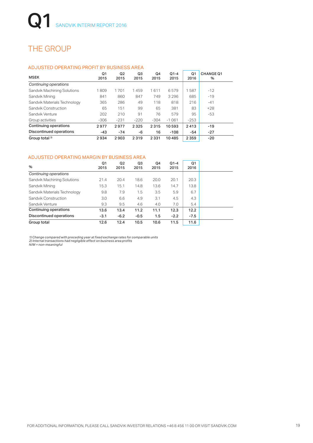## THE GROUP

#### ADJUSTED OPERATING PROFIT BY BUSINESS AREA

| <b>MSEK</b>                    | Q1<br>2015 | Q <sub>2</sub><br>2015 | Q3<br>2015 | Q4<br>2015 | $Q1 - 4$<br>2015 | Q1<br>2016 | <b>CHANGE Q1</b><br>% |
|--------------------------------|------------|------------------------|------------|------------|------------------|------------|-----------------------|
| Continuing operations          |            |                        |            |            |                  |            |                       |
| Sandvik Machining Solutions    | 1809       | 1701                   | 1459       | 1611       | 6579             | 1587       | $-12$                 |
| Sandvik Mining                 | 841        | 860                    | 847        | 749        | 3 2 9 6          | 685        | $-19$                 |
| Sandvik Materials Technology   | 365        | 286                    | 49         | 118        | 818              | 216        | $-41$                 |
| Sandvik Construction           | 65         | 151                    | 99         | 65         | 381              | 83         | $+28$                 |
| Sandvik Venture                | 202        | 210                    | 91         | 76         | 579              | 95         | $-53$                 |
| Group activities               | $-306$     | $-231$                 | $-220$     | $-304$     | $-1061$          | $-253$     |                       |
| <b>Continuing operations</b>   | 2977       | 2977                   | 2325       | 2315       | 10593            | 2413       | $-19$                 |
| <b>Discontinued operations</b> | $-43$      | $-74$                  | -6         | 16         | $-108$           | $-54$      | $-27$                 |
| Group total <sup>2)</sup>      | 2934       | 2903                   | 2319       | 2 3 3 1    | 10485            | 2 3 5 9    | $-20$                 |

#### ADJUSTED OPERATING MARGIN BY BUSINESS AREA

| $\%$                           | Q1<br>2015 | Q <sub>2</sub><br>2015 | Q3<br>2015 | Q4<br>2015 | $Q1 - 4$<br>2015 | Q1<br>2016 |
|--------------------------------|------------|------------------------|------------|------------|------------------|------------|
| Continuing operations          |            |                        |            |            |                  |            |
| Sandvik Machining Solutions    | 21.4       | 20.4                   | 18.6       | 20.0       | 20.1             | 20.3       |
| Sandvik Mining                 | 15.3       | 15.1                   | 14.8       | 13.6       | 14.7             | 13.8       |
| Sandvik Materials Technology   | 9.8        | 7.9                    | 1.5        | 3.5        | 5.9              | 6.7        |
| Sandvik Construction           | 3.0        | 6.6                    | 4.9        | 3.1        | 4.5              | 4.3        |
| Sandvik Venture                | 9.3        | 9.5                    | 4.6        | 4.0        | 7.0              | 5.4        |
| Continuing operations          | 13.6       | 13.4                   | 11.2       | 11.1       | 12.3             | 12.2       |
| <b>Discontinued operations</b> | $-3.1$     | $-6.2$                 | $-0.5$     | 1.5        | $-2.2$           | $-7.5$     |
| Group total                    | 12.6       | 12.4                   | 10.5       | 10.6       | 11.5             | 11.6       |

*1) Change compared with preceding year at fixed exchange rates for comparable units 2) Internal transactions had negligible effect on business area profits N/M = non-meaningful*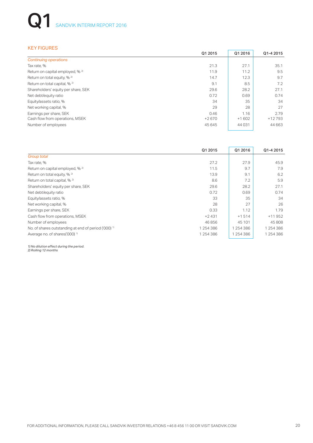# **Q1** SANDVIK INTERIM REPORT 2016

#### KEY FIGURES

|                                          | Q1 2015 | Q1 2016 | Q1-4 2015 |
|------------------------------------------|---------|---------|-----------|
| <b>Continuing operations</b>             |         |         |           |
| Tax rate, %                              | 21.3    | 27.1    | 35.1      |
| Return on capital employed, % 2)         | 11.9    | 11.2    | 9.5       |
| Return on total equity, % <sup>2)</sup>  | 14.7    | 12.3    | 9.7       |
| Return on total capital, % <sup>2)</sup> | 9.1     | 8.5     | 7.2       |
| Shareholders' equity per share, SEK      | 29.6    | 28.2    | 27.1      |
| Net debt/equity ratio                    | 0.72    | 0.69    | 0.74      |
| Equity/assets ratio, %                   | 34      | 35      | 34        |
| Net working capital, %                   | 29      | 28      | 27        |
| Earnings per share, SEK                  | 0.46    | 1.16    | 2.79      |
| Cash flow from operations, MSEK          | $+2670$ | $+1602$ | $+12793$  |
| Number of employees                      | 45 645  | 44031   | 44 6 63   |

|                                                                 | Q1 2015   | Q1 2016   | Q1-4 2015 |
|-----------------------------------------------------------------|-----------|-----------|-----------|
| Group total                                                     |           |           |           |
| Tax rate, %                                                     | 27.2      | 27.9      | 45.9      |
| Return on capital employed, % <sup>2)</sup>                     | 11.5      | 9.7       | 7.9       |
| Return on total equity, % <sup>2)</sup>                         | 13.9      | 9.1       | 6.2       |
| Return on total capital, % <sup>2)</sup>                        | 8.6       | 7.2       | 5.9       |
| Shareholders' equity per share, SEK                             | 29.6      | 28.2      | 27.1      |
| Net debt/equity ratio                                           | 0.72      | 0.69      | 0.74      |
| Equity/assets ratio, %                                          | 33        | 35        | 34        |
| Net working capital, %                                          | 28        | 27        | 26        |
| Earnings per share, SEK                                         | 0.33      | 1.12      | 1.79      |
| Cash flow from operations, MSEK                                 | $+2431$   | $+1514$   | $+11952$  |
| Number of employees                                             | 46856     | 45 101    | 45 808    |
| No. of shares outstanding at end of period ('000) <sup>1)</sup> | 1254386   | 1 254 386 | 1 254 386 |
| Average no. of shares('000) <sup>1)</sup>                       | 1 254 386 | 1 254 386 | 1 254 386 |

*1) No dilution effect during the period. 2) Rolling 12 months*